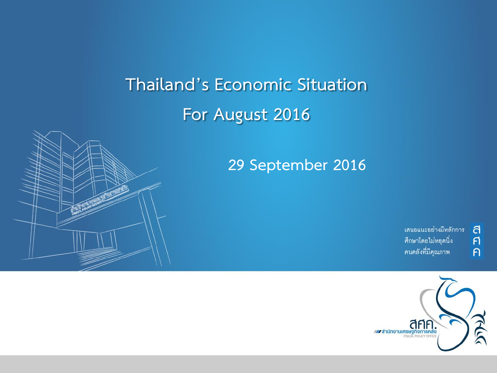# **Thailand's Economic Situation For August 2016**





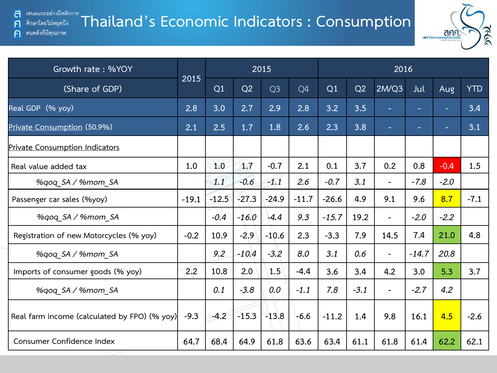A

 $\bigcap$ 

#### **Thailand's Economic Indicators : Consumption** ศึกษาโดยไม่หยุดนึง คนคลังที่มีคุณภาพ



| Growth rate: %YOY                            |         |         |         | 2015           |         |         |        | 2016                     |         |        |            |
|----------------------------------------------|---------|---------|---------|----------------|---------|---------|--------|--------------------------|---------|--------|------------|
| (Share of GDP)                               | 2015    | Q1      | Q2      | Q <sub>3</sub> | Q4      | Q1      | Q2     | 2M/Q3                    | Jul     | Aug    | <b>YTD</b> |
| Real GDP (% yoy)                             | 2.8     | 3.0     | 2.7     | 2.9            | 2.8     | 3.2     | 3.5    | н                        | ۰       | ÷      | 3.4        |
| Private Consumption (50.9%)                  | 2.1     | 2.5     | 1.7     | 1.8            | 2.6     | 2.3     | 3.8    | н                        | ٠       | ٠      | 3.1        |
| Private Consumption Indicators               |         |         |         |                |         |         |        |                          |         |        |            |
| Real value added tax                         | 1.0     | 1.0     | 1.7     | $-0.7$         | 2.1     | 0.1     | 3.7    | 0.2                      | 0.8     | $-0.4$ | 1.5        |
| %gog SA / %mom SA                            |         | 1.1     | $-0.6$  | $-1.1$         | 2.6     | $-0.7$  | 3.1    | $\overline{\phantom{a}}$ | $-7.8$  | $-2.0$ |            |
| Passenger car sales (%yoy)                   | $-19.1$ | $-12.5$ | $-27.3$ | $-24.9$        | $-11.7$ | $-26.6$ | 4.9    | 9.1                      | 9.6     | 8.7    | $-7.1$     |
| %gog SA / %mom SA                            |         | $-0.4$  | $-16.0$ | $-4.4$         | 9.3     | $-15.7$ | 19.2   | $\overline{\phantom{a}}$ | $-2.0$  | $-2.2$ |            |
| Registration of new Motorcycles (% yoy)      | $-0.2$  | 10.9    | $-2.9$  | $-10.6$        | 2.3     | $-3.3$  | 7.9    | 14.5                     | 7.4     | 21.0   | 4.8        |
| %qoq SA / %mom SA                            |         | 9.2     | $-10.4$ | $-3.2$         | 8.0     | 3.1     | 0.6    | $\overline{\phantom{a}}$ | $-14.7$ | 20.8   |            |
| Imports of consumer goods (% yoy)            | 2.2     | 10.8    | 2.0     | 1.5            | $-4.4$  | 3.6     | 3.4    | 4.2                      | 3.0     | 5.3    | 3.7        |
| %gog SA / %mom SA                            |         | 0.1     | $-3.8$  | 0.0            | $-1.1$  | 7.8     | $-3.1$ | $\overline{\phantom{a}}$ | $-2.7$  | 4.2    |            |
| Real farm income (calculated by FPO) (% yoy) | $-9.3$  | $-4.2$  | $-15.3$ | $-13.8$        | $-6.6$  | $-11.2$ | 1.4    | 9.8                      | 16.1    | 4.5    | $-2.6$     |
| Consumer Confidence Index                    | 64.7    | 68.4    | 64.9    | 61.8           | 63.6    | 63.4    | 61.1   | 61.8                     | 61.4    | 62.2   | 62.1       |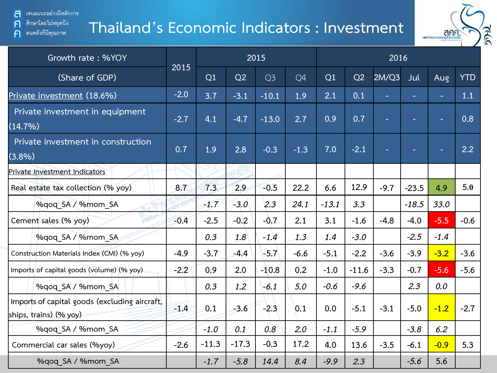เสนอแนะอย่างมีหลักการ ส

 $\mathsf{F}$ 

 $\bigcap$ 

ศึกษาโดยไม่หยุดนึง

คนคลังที่มีคุณภาพ

# **Thailand's Economic Indicators : Investment**



| Growth rate: %YOY                                                       |        |         |         | 2015           |        |         |         | 2016   |         |        |            |
|-------------------------------------------------------------------------|--------|---------|---------|----------------|--------|---------|---------|--------|---------|--------|------------|
| (Share of GDP)                                                          | 2015   | Q1      | Q2      | Q <sub>3</sub> | Q4     | Q1      | Q2      | 2M/Q3  | Jul     | Aug    | <b>YTD</b> |
| Private investment (18.6%)                                              | $-2.0$ | 3.7     | $-3.1$  | $-10.1$        | 1.9    | 2.1     | 0.1     |        | ٠       | ٠      | 1.1        |
| Private investment in equipment<br>(14.7%)                              | $-2.7$ | 4.1     | $-4.7$  | $-13.0$        | 2.7    | 0.9     | 0.7     | ۳      | н       | ٠      | 0.8        |
| Private investment in construction<br>(3.8%)                            | 0.7    | 1.9     | 2.8     | $-0.3$         | $-1.3$ | 7.0     | $-2.1$  | ۳      | ٠       | н      | 2.2        |
| Private Investment Indicators                                           |        |         |         |                |        |         |         |        |         |        |            |
| Real estate tax collection (% yoy)                                      | 8.7    | 7.3     | 2.9     | $-0.5$         | 22.2   | 6.6     | 12.9    | $-9.7$ | $-23.5$ | 4.9    | 5.0        |
| %qoq SA / %mom SA                                                       |        | $-1.7$  | $-3.0$  | 2.3            | 24.1   | $-13.1$ | 3.3     |        | $-18.5$ | 33.0   |            |
| Cement sales (% yoy)                                                    | $-0.4$ | $-2.5$  | $-0.2$  | $-0.7$         | 2.1    | 3.1     | $-1.6$  | $-4.8$ | $-4.0$  | $-5.5$ | $-0.6$     |
| %gog SA / %mom SA                                                       |        | 0.3     | 1.8     | $-1.4$         | 1.3    | 1.4     | $-3.0$  |        | $-2.5$  | $-1.4$ |            |
| Construction Materials Index (CMI) (% yoy)                              | $-4.9$ | $-3.7$  | $-4.4$  | $-5.7$         | $-6.6$ | $-5.1$  | $-2.2$  | $-3.6$ | $-3.9$  | $-3.2$ | $-3.6$     |
| Imports of capital goods (volume) (% yoy).                              | $-2.2$ | 0.9     | 2.0     | $-10.8$        | 0.2    | $-1.0$  | $-11.6$ | $-3.3$ | $-0.7$  | $-5.6$ | $-5.6$     |
| %qoq SA / %mom SA                                                       |        | 0.3     | 1.2     | $-6.1$         | 5.0    | $-0.6$  | $-9.6$  |        | 2.3     | 0.0    |            |
| Imports of capital goods (excluding aircraft,<br>ships, trains) (% yoy) | $-1.4$ | 0.1     | $-3.6$  | $-2.3$         | 0.1    | 0.0     | $-5.1$  | $-3.1$ | $-5.0$  | $-1.2$ | $-2.7$     |
| %qoq SA / %mom SA                                                       |        | $-1.0$  | 0.1     | 0.8            | 2.0    | $-1.1$  | $-5.9$  |        | $-3.8$  | 6.2    |            |
| Commercial car sales (%yoy)                                             | $-2.6$ | $-11.3$ | $-17.3$ | $-0.3$         | 17.2   | 4.0     | 13.6    | $-3.5$ | $-6.1$  | $-0.9$ | 5.3        |
| %qoq SA / %mom SA                                                       |        | $-1.7$  | $-5.8$  | 14.4           | 8.4    | $-9.9$  | 2.3     |        | $-5.6$  | 5.6    |            |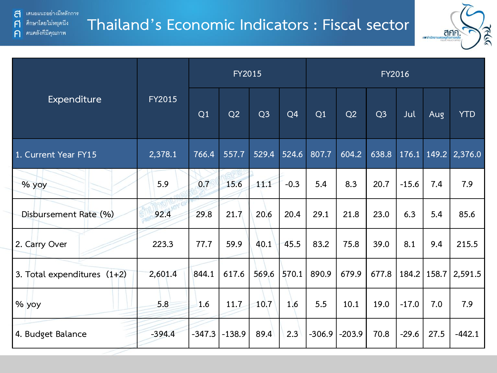คนคลังที่มีคุณภาพ

 $\mathsf{F}$ 

 $\bigcap$ 

## **Thailand's Economic Indicators : Fiscal sector**



|                               |               |          | <b>FY2015</b> |                |                | <b>FY2016</b> |          |                |         |               |                     |  |
|-------------------------------|---------------|----------|---------------|----------------|----------------|---------------|----------|----------------|---------|---------------|---------------------|--|
| Expenditure                   | <b>FY2015</b> | Q1       | Q2            | Q <sub>3</sub> | Q <sub>4</sub> | Q1            | Q2       | Q <sub>3</sub> | Jul     | Aug           | <b>YTD</b>          |  |
| 1. Current Year FY15          | 2,378.1       | 766.4    | 557.7         | 529.4          | 524.6          | 807.7         | 604.2    | 638.8          |         |               | 176.1 149.2 2,376.0 |  |
| % yoy                         | 5.9           | 0.7      | 15.6          | 11.1           | $-0.3$         | 5.4           | 8.3      | 20.7           | $-15.6$ | 7.4           | 7.9                 |  |
| Disbursement Rate (%)         | 92.4          | 29.8     | 21.7          | 20.6           | 20.4           | 29.1          | 21.8     | 23.0           | 6.3     | 5.4           | 85.6                |  |
| 2. Carry Over                 | 223.3         | 77.7     | 59.9          | 40.1           | 45.5           | 83.2          | 75.8     | 39.0           | 8.1     | 9.4           | 215.5               |  |
| 3. Total expenditures $(1+2)$ | 2,601.4       | 844.1    | 617.6         | 569.6          | 570.1          | 890.9         | 679.9    | 677.8          |         | 184.2   158.7 | 2,591.5             |  |
| % yoy                         | 5.8           | 1.6      | 11.7          | 10.7           | 1.6            | 5.5           | 10.1     | 19.0           | $-17.0$ | 7.0           | 7.9                 |  |
| 4. Budget Balance             | $-394.4$      | $-347.3$ | $-138.9$      | 89.4           | 2.3            | $-306.9$      | $-203.9$ | 70.8           | $-29.6$ | 27.5          | $-442.1$            |  |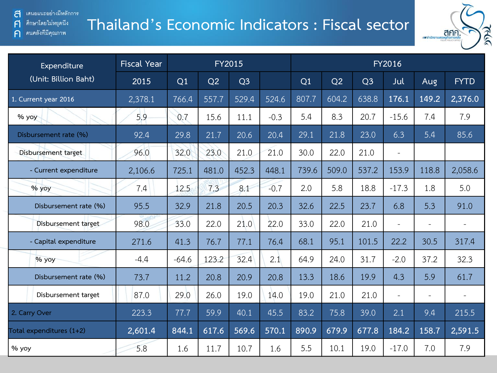$\mathsf{F}$ 

 $\bigcap$ 

ศึกษาโดยไม่หยุดนึง

คนคลังที่มีคุณภาพ

# **Thailand's Economic Indicators : Fiscal sector**



| Expenditure              | <b>Fiscal Year</b> |         |       | <b>FY2015</b>  |        | <b>FY2016</b> |       |                |                          |                          |                          |  |
|--------------------------|--------------------|---------|-------|----------------|--------|---------------|-------|----------------|--------------------------|--------------------------|--------------------------|--|
| (Unit: Billion Baht)     | 2015               | Q1      | Q2    | Q <sub>3</sub> |        | Q1            | Q2    | Q <sub>3</sub> | Jul                      | Aug                      | <b>FYTD</b>              |  |
| 1. Current year 2016     | 2,378.1            | 766.4   | 557.7 | 529.4          | 524.6  | 807.7         | 604.2 | 638.8          | 176.1                    | 149.2                    | 2,376.0                  |  |
| % yoy                    | 5.9                | 0.7     | 15.6  | 11.1           | $-0.3$ | 5.4           | 8.3   | 20.7           | $-15.6$                  | 7.4                      | 7.9                      |  |
| Disbursement rate (%)    | 92.4               | 29.8    | 21.7  | 20.6           | 20.4   | 29.1          | 21.8  | 23.0           | 6.3                      | 5.4                      | 85.6                     |  |
| Disbursement target      | 96.0               | 32.0    | 23.0  | 21.0           | 21.0   | 30.0          | 22.0  | 21.0           | $\overline{\phantom{a}}$ |                          |                          |  |
| - Current expenditure    | 2,106.6            | 725.1   | 481.0 | 452.3          | 448.1  | 739.6         | 509.0 | 537.2          | 153.9                    | 118.8                    | 2,058.6                  |  |
| % yoy                    | 7.4                | 12.5    | 7.3   | 8.1            | $-0.7$ | 2.0           | 5.8   | 18.8           | $-17.3$                  | 1.8                      | 5.0                      |  |
| Disbursement rate (%)    | 95.5               | 32.9    | 21.8  | 20.5           | 20.3   | 32.6          | 22.5  | 23.7           | 6.8                      | 5.3                      | 91.0                     |  |
| Disbursement target      | 98.0               | 33.0    | 22.0  | 21.0           | 22.0   | 33.0          | 22.0  | 21.0           | $\overline{\phantom{a}}$ | $\overline{\phantom{a}}$ |                          |  |
| - Capital expenditure    | 271.6              | 41.3    | 76.7  | 77.1           | 76.4   | 68.1          | 95.1  | 101.5          | 22.2                     | 30.5                     | 317.4                    |  |
| % yoy                    | $-4.4$             | $-64.6$ | 123.2 | 32.4           | 2.1    | 64.9          | 24.0  | 31.7           | $-2.0$                   | 37.2                     | 32.3                     |  |
| Disbursement rate (%)    | 73.7               | 11.2    | 20.8  | 20.9           | 20.8   | 13.3          | 18.6  | 19.9           | 4.3                      | 5.9                      | 61.7                     |  |
| Disbursement target      | 87.0               | 29.0    | 26.0  | 19.0           | 14.0   | 19.0          | 21.0  | 21.0           | $\equiv$                 | $\overline{\phantom{a}}$ | $\overline{\phantom{a}}$ |  |
| 2. Carry Over            | 223.3              | 77.7    | 59.9  | 40.1           | 45.5   | 83.2          | 75.8  | 39.0           | 2.1                      | 9.4                      | 215.5                    |  |
| Total expenditures (1+2) | 2,601.4            | 844.1   | 617.6 | 569.6          | 570.1  | 890.9         | 679.9 | 677.8          | 184.2                    | 158.7                    | 2,591.5                  |  |
| % yoy                    | 5.8                | 1.6     | 11.7  | 10.7           | 1.6    | 5.5           | 10.1  | 19.0           | $-17.0$                  | 7.0                      | 7.9                      |  |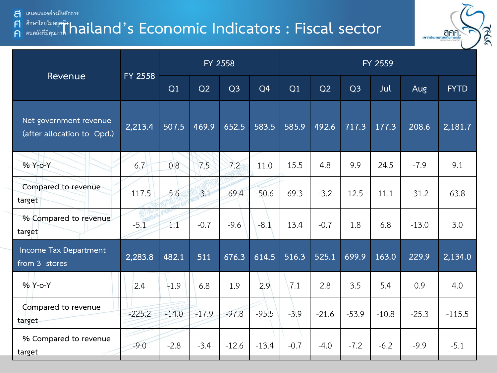ส ่เสนอแนะอย่างมีหลักการ

#### **Than Trup of the Illivego Theory of The Indicators : Fiscal sector**  $\mathsf{F}$  $\bigcap$



|                                                      |          |         | FY 2558 |                |                | FY 2559 |         |                |         |         |             |  |  |
|------------------------------------------------------|----------|---------|---------|----------------|----------------|---------|---------|----------------|---------|---------|-------------|--|--|
| Revenue                                              | FY 2558  | Q1      | Q2      | Q <sub>3</sub> | Q <sub>4</sub> | Q1      | Q2      | Q <sub>3</sub> | Jul     | Aug     | <b>FYTD</b> |  |  |
| Net government revenue<br>(after allocation to Opd.) | 2,213.4  | 507.5   | 469.9   | 652.5          | 583.5          | 585.9   | 492.6   | 717.3          | 177.3   | 208.6   | 2,181.7     |  |  |
| % Y-o-Y                                              | 6.7      | 0.8     | 7.5     | 7.2            | 11.0           | 15.5    | 4.8     | 9.9            | 24.5    | $-7.9$  | 9.1         |  |  |
| Compared to revenue<br>target                        | $-117.5$ | 5.6     | $-3.1$  | $-69.4$        | $-50.6$        | 69.3    | $-3.2$  | 12.5           | 11.1    | $-31.2$ | 63.8        |  |  |
| % Compared to revenue<br>target                      | $-5.1$   | 1.1     | $-0.7$  | $-9.6$         | $-8.1$         | 13.4    | $-0.7$  | 1.8            | 6.8     | $-13.0$ | 3.0         |  |  |
| Income Tax Department<br>from 3 stores               | 2,283.8  | 482.1   | 511     | 676.3          | 614.5          | 516.3   | 525.1   | 699.9          | 163.0   | 229.9   | 2,134.0     |  |  |
| % Y-o-Y                                              | 2.4      | $-1.9$  | 6.8     | 1.9            | 2.9            | 7.1     | 2.8     | 3.5            | 5.4     | 0.9     | 4.0         |  |  |
| Compared to revenue<br>target                        | $-225.2$ | $-14.0$ | $-17.9$ | $-97.8$        | $-95.5$        | $-3.9$  | $-21.6$ | $-53.9$        | $-10.8$ | $-25.3$ | $-115.5$    |  |  |
| % Compared to revenue<br>target                      | $-9.0$   | $-2.8$  | $-3.4$  | $-12.6$        | $-13.4$        | $-0.7$  | $-4.0$  | $-7.2$         | $-6.2$  | $-9.9$  | $-5.1$      |  |  |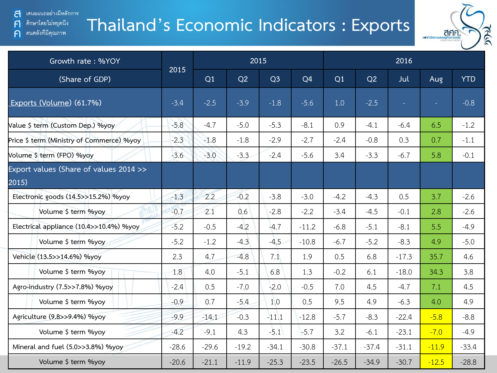คนคลังที่มีคุณภาพ

 $\mathsf{F}$ 

 $\bigcap$ 

# **Thailand's Economic Indicators : Exports**



| Growth rate: %YOY                               |         |         |         | 2015           |         |         |         | 2016    |         |            |
|-------------------------------------------------|---------|---------|---------|----------------|---------|---------|---------|---------|---------|------------|
| (Share of GDP)                                  | 2015    | Q1      | Q2      | Q <sub>3</sub> | Q4      | Q1      | Q2      | Jul     | Aug     | <b>YTD</b> |
| Exports (Volume) (61.7%)                        | $-3.4$  | $-2.5$  | $-3.9$  | $-1.8$         | $-5.6$  | 1.0     | $-2.5$  |         |         | $-0.8$     |
| Value \$ term (Custom Dep.) %yoy                | $-5.8$  | $-4.7$  | $-5.0$  | $-5.3$         | $-8.1$  | 0.9     | $-4.1$  | $-6.4$  | 6.5     | $-1.2$     |
| Price \$ term (Ministry of Commerce) %yoy       | $-2.3$  | $-1.8$  | $-1.8$  | $-2.9$         | $-2.7$  | $-2.4$  | $-0.8$  | 0.3     | 0.7     | $-1.1$     |
| Volume \$ term (FPO) %yoy                       | $-3.6$  | $-3.0$  | $-3.3$  | $-2.4$         | $-5.6$  | 3.4     | $-3.3$  | $-6.7$  | 5.8     | $-0.1$     |
| Export values (Share of values 2014 >><br>2015) |         |         |         |                |         |         |         |         |         |            |
| Electronic goods (14.5>>15.2%) %yoy             | $-1.3$  | 2.2     | $-0.2$  | $-3.8$         | $-3.0$  | $-4.2$  | $-4.3$  | 0.5     | 3.7     | $-2.6$     |
| Volume \$ term %yoy                             | $-0.7$  | 2.1     | 0.6     | $-2.8$         | $-2.2$  | $-3.4$  | $-4.5$  | $-0.1$  | 2.8     | $-2.6$     |
| Electrical appliance (10.4>>10.4%) %yoy         | $-5.2$  | $-0.5$  | $-4.2$  | $-4.7$         | $-11.2$ | $-6.8$  | $-5.1$  | $-8.1$  | 5.5     | $-4.9$     |
| Volume \$ term %yoy                             | $-5.2$  | $-1.2$  | $-4.3$  | $-4.5$         | $-10.8$ | $-6.7$  | $-5.2$  | $-8.3$  | 4.9     | $-5.0$     |
| Vehicle (13.5>>14.6%) %yoy                      | 2.3     | 4.7     | $-4.8$  | 7.1            | 1.9     | 0.5     | 6.8     | $-17.3$ | 35.7    | 4.6        |
| Volume \$ term %yoy                             | 1.8     | 4.0     | $-5.1$  | 6.8            | 1.3     | $-0.2$  | 6.1     | $-18.0$ | 34.3    | 3.8        |
| Agro-industry (7.5>>7.8%) %yoy                  | $-2.4$  | 0.5     | $-7.0$  | $-2.0$         | $-0.5$  | 7.0     | 4.5     | $-4.7$  | 7.1     | 4.5        |
| Volume \$ term %yoy                             | $-0.9$  | 0.7     | $-5.4$  | 1.0            | 0.5     | 9.5     | 4.9     | $-6.3$  | 4.0     | 4.9        |
| Agriculture (9.8>>9.4%) %yoy                    | $-9.9$  | $-14.1$ | $-0.3$  | $-11.1$        | $-12.8$ | $-5.7$  | $-8.3$  | $-22.4$ | $-5.8$  | $-8.8$     |
| Volume \$ term %yoy                             | $-4.2$  | $-9.1$  | 4.3     | $-5.1$         | $-5.7$  | 3.2     | $-6.1$  | $-23.1$ | $-7.0$  | $-4.9$     |
| Mineral and fuel (5.0>>3.8%) %yoy               | $-28.6$ | $-29.6$ | $-19.2$ | $-34.1$        | $-30.8$ | $-37.1$ | $-37.4$ | $-31.1$ | $-11.9$ | $-33.4$    |
| Volume \$ term %yoy                             | $-20.6$ | $-21.1$ | $-11.9$ | $-25.3$        | $-23.5$ | $-26.5$ | $-34.9$ | $-30.7$ | $-12.5$ | $-28.8$    |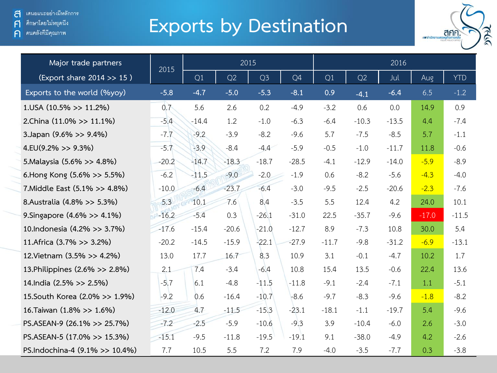ศึกษาโดยไม่หยุดนีง  $\mathsf{F}$ 

คนคลังที่มีคุณภาพ  $\bigcap$ 

# **Exports by Destination**



| Major trade partners           | 2015    |         | 2015    |                |         |         |         | 2016    |         |            |
|--------------------------------|---------|---------|---------|----------------|---------|---------|---------|---------|---------|------------|
| (Export share 2014 >> 15)      |         | Q1      | Q2      | Q <sub>3</sub> | Q4      | Q1      | Q2      | Jul     | Aug     | <b>YTD</b> |
| Exports to the world (%yoy)    | $-5.8$  | $-4.7$  | $-5.0$  | $-5.3$         | $-8.1$  | 0.9     | $-4.1$  | $-6.4$  | 6.5     | $-1.2$     |
| $1.05A(10.5\%>>11.2\%)$        | 0.7     | 5.6     | 2.6     | 0.2            | $-4.9$  | $-3.2$  | 0.6     | 0.0     | 14.9    | 0.9        |
| 2.China (11.0% >> 11.1%)       | $-5.4$  | $-14.4$ | 1.2     | $-1.0$         | $-6.3$  | $-6.4$  | $-10.3$ | $-13.5$ | 4.4     | $-7.4$     |
| 3.Japan (9.6% >> 9.4%)         | $-7.7$  | $-9.2$  | $-3.9$  | $-8.2$         | $-9.6$  | 5.7     | $-7.5$  | $-8.5$  | 5.7     | $-1.1$     |
| $4.EU(9.2\% >> 9.3\%)$         | $-5.7$  | $-3.9$  | $-8.4$  | $-4.4$         | $-5.9$  | $-0.5$  | $-1.0$  | $-11.7$ | 11.8    | $-0.6$     |
| 5. Malaysia (5.6% >> 4.8%)     | $-20.2$ | $-14.7$ | $-18.3$ | $-18.7$        | $-28.5$ | $-4.1$  | $-12.9$ | $-14.0$ | $-5.9$  | $-8.9$     |
| 6. Hong Kong (5.6% >> 5.5%)    | $-6.2$  | $-11.5$ | $-9.0$  | $-2.0$         | $-1.9$  | 0.6     | $-8.2$  | $-5.6$  | $-4.3$  | $-4.0$     |
| 7. Middle East (5.1% >> 4.8%)  | $-10.0$ | $-6.4$  | $-23.7$ | $-6.4$         | $-3.0$  | $-9.5$  | $-2.5$  | $-20.6$ | $-2.3$  | $-7.6$     |
| 8.Australia (4.8% >> 5.3%)     | 5.3     | 10.1    | 7.6     | 8.4            | $-3.5$  | 5.5     | 12.4    | 4.2     | 24.0    | 10.1       |
| 9. Singapore (4.6% >> 4.1%)    | $-16.2$ | $-5.4$  | 0.3     | $-26.1$        | $-31.0$ | 22.5    | $-35.7$ | $-9.6$  | $-17.0$ | $-11.5$    |
| 10. Indonesia (4.2% >> 3.7%)   | $-17.6$ | $-15.4$ | $-20.6$ | $-21.0$        | $-12.7$ | 8.9     | $-7.3$  | 10.8    | 30.0    | 5.4        |
| 11.Africa (3.7% >> 3.2%)       | $-20.2$ | $-14.5$ | $-15.9$ | $-22.1$        | $-27.9$ | $-11.7$ | $-9.8$  | $-31.2$ | $-6.9$  | $-13.1$    |
| 12. Vietnam (3.5% > 4.2%)      | 13.0    | 17.7    | 16.7    | 8.3            | 10.9    | 3.1     | $-0.1$  | $-4.7$  | 10.2    | 1.7        |
| 13. Philippines (2.6% >> 2.8%) | 2.1     | 7.4     | $-3.4$  | $-6.4$         | 10.8    | 15.4    | 13.5    | $-0.6$  | 22.4    | 13.6       |
| 14.India (2.5% >> 2.5%)        | $-5.7$  | 6.1     | $-4.8$  | $-11.5$        | $-11.8$ | $-9.1$  | $-2.4$  | $-7.1$  | 1.1     | $-5.1$     |
| 15. South Korea (2.0% >> 1.9%) | $-9.2$  | 0.6     | $-16.4$ | $-10.7$        | $-8.6$  | $-9.7$  | $-8.3$  | $-9.6$  | $-1.8$  | $-8.2$     |
| 16.Taiwan (1.8% >> 1.6%)       | $-12.0$ | 4.7     | $-11.5$ | $-15.3$        | $-23.1$ | $-18.1$ | $-1.1$  | $-19.7$ | 5.4     | $-9.6$     |
| PS.ASEAN-9 (26.1% >> 25.7%)    | $-7.2$  | $-2.5$  | $-5.9$  | $-10.6$        | $-9.3$  | 3.9     | $-10.4$ | $-6.0$  | 2.6     | $-3.0$     |
| PS.ASEAN-5 (17.0% >> 15.3%)    | $-15.1$ | $-9.5$  | $-11.8$ | $-19.5$        | $-19.1$ | 9.1     | $-38.0$ | $-4.9$  | 4.2     | $-2.6$     |
| PS.Indochina-4 (9.1% >> 10.4%) | 7.7     | 10.5    | 5.5     | 7.2            | 7.9     | $-4.0$  | $-3.5$  | $-7.7$  | 0.3     | $-3.8$     |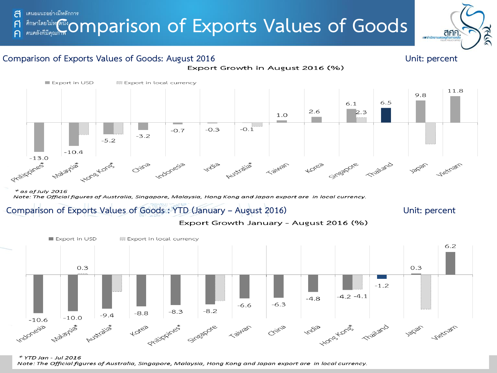## **Consuming Comparison of Exports Values of Goods** ส

### **Comparison of Exports Values of Goods: August 2016 Unit: percent**

and antinonums

anf



Export Growth in August 2016 (%)

 $*$  as of July 2016 Note: The Official figures of Australia, Singapore, Malaysia, Hong Kong and Japan export are in local currency.

### **Comparison of Exports Values of Goods : YTD (January – August 2016) Unit: percent**





\* YTD Jan - Jul 2016 Note: The Official figures of Australia, Singapore, Malaysia, Hong Kong and Japan export are in local currency.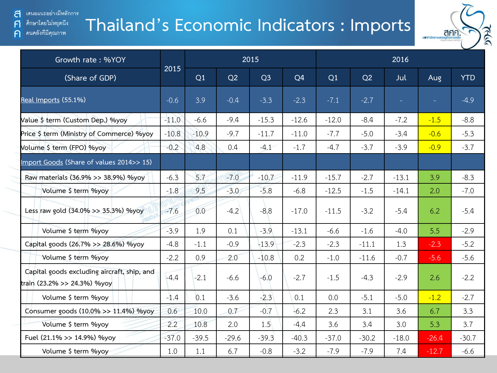#### เสนอแนะอย่างมีหลักการ ส ศึกษาโดยไม่หยุดนึง

คนคลังที่มีคุณภาพ

 $\mathsf{F}$ 

 $\bigcap$ 

# **Thailand's Economic Indicators : Imports**



| Growth rate: %YOY                                                          |         |         |         | 2015           |                |         |         | 2016    |         |            |
|----------------------------------------------------------------------------|---------|---------|---------|----------------|----------------|---------|---------|---------|---------|------------|
| (Share of GDP)                                                             | 2015    | Q1      | Q2      | Q <sub>3</sub> | Q <sub>4</sub> | Q1      | Q2      | Jul     | Aug     | <b>YTD</b> |
| Real Imports (55.1%)                                                       | $-0.6$  | 3.9     | $-0.4$  | $-3.3$         | $-2.3$         | $-7.1$  | $-2.7$  | ÷.      |         | $-4.9$     |
| Value \$ term (Custom Dep.) %yoy                                           | $-11.0$ | $-6.6$  | $-9.4$  | $-15.3$        | $-12.6$        | $-12.0$ | $-8.4$  | $-7.2$  | $-1.5$  | $-8.8$     |
| Price \$ term (Ministry of Commerce) %yoy                                  | $-10.8$ | $-10.9$ | $-9.7$  | $-11.7$        | $-11.0$        | $-7.7$  | $-5.0$  | $-3.4$  | $-0.6$  | $-5.3$     |
| Volume \$ term (FPO) %yoy                                                  | $-0.2$  | 4.8     | 0.4     | $-4.1$         | $-1.7$         | $-4.7$  | $-3.7$  | $-3.9$  | $-0.9$  | $-3.7$     |
| Import Goods (Share of values 2014>> 15)                                   |         |         |         |                |                |         |         |         |         |            |
| Raw materials (36.9% >> 38.9%) %yoy                                        | $-6.3$  | 5.7     | $-7.0$  | $-10.7$        | $-11.9$        | $-15.7$ | $-2.7$  | $-13.1$ | 3.9     | $-8.3$     |
| Volume \$ term %yoy                                                        | $-1.8$  | 9.5     | $-3.0$  | $-5.8$         | $-6.8$         | $-12.5$ | $-1.5$  | $-14.1$ | 2.0     | $-7.0$     |
| Less raw gold (34.0% >> 35.3%) %yoy                                        | $-7.6$  | 0.0     | $-4.2$  | $-8.8$         | $-17.0$        | $-11.5$ | $-3.2$  | $-5.4$  | 6.2     | $-5.4$     |
| Volume \$ term %yoy                                                        | $-3.9$  | 1.9     | 0.1     | $-3.9$         | $-13.1$        | $-6.6$  | $-1.6$  | $-4.0$  | 5.5     | $-2.9$     |
| Capital goods (26.7% >> 28.6%) %yoy                                        | $-4.8$  | $-1.1$  | $-0.9$  | $-13.9$        | $-2.3$         | $-2.3$  | $-11.1$ | 1.3     | $-2.3$  | $-5.2$     |
| Volume \$ term %yoy                                                        | $-2.2$  | 0.9     | 2.0     | $-10.8$        | 0.2            | $-1.0$  | $-11.6$ | $-0.7$  | $-5.6$  | $-5.6$     |
| Capital goods excluding aircraft, ship, and<br>train (23.2% >> 24.3%) %yoy | $-4.4$  | $-2.1$  | $-6.6$  | $-6.0$         | $-2.7$         | $-1.5$  | $-4.3$  | $-2.9$  | 2.6     | $-2.2$     |
| Volume \$ term %yoy                                                        | $-1.4$  | 0.1     | $-3.6$  | $-2.3$         | 0.1            | 0.0     | $-5.1$  | $-5.0$  | $-1.2$  | $-2.7$     |
| Consumer goods (10.0% >> 11.4%) %yoy                                       | 0.6     | 10.0    | 0.7     | $-0.7$         | $-6.2$         | 2.3     | 3.1     | 3.6     | 6.7     | 3.3        |
| Volume \$ term %yoy                                                        | 2.2     | 10.8    | 2.0     | 1.5            | $-4.4$         | 3.6     | 3.4     | 3.0     | 5.3     | 3.7        |
| Fuel (21.1% >> 14.9%) %yoy                                                 | $-37.0$ | $-39.5$ | $-29.6$ | $-39.3$        | $-40.3$        | $-37.0$ | $-30.2$ | $-18.0$ | $-26.4$ | $-30.7$    |
| Volume \$ term %yoy                                                        | 1.0     | 1.1     | 6.7     | $-0.8$         | $-3.2$         | $-7.9$  | $-7.9$  | 7.4     | $-12.7$ | $-6.6$     |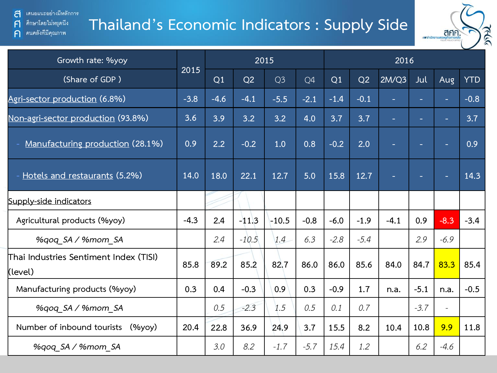a ่ เสนอแนะอย่างมีหลักการ ศึกษาโดยไม่หยุดนึง

คนคลังที่มีคุณภาพ

 $\mathsf{F}$ 

 $\bigcap$ 

# **Thailand's Economic Indicators : Supply Side**



| Growth rate: %yoy                                 |        |        |         | 2015           |        |        |        | 2016   |        |        |            |
|---------------------------------------------------|--------|--------|---------|----------------|--------|--------|--------|--------|--------|--------|------------|
| (Share of GDP)                                    | 2015   | Q1     | Q2      | Q <sub>3</sub> | Q4     | Q1     | Q2     | 2M/Q3  | Jul    | Aug    | <b>YTD</b> |
| Agri-sector production (6.8%)                     | $-3.8$ | $-4.6$ | $-4.1$  | $-5.5$         | $-2.1$ | $-1.4$ | $-0.1$ |        |        |        | $-0.8$     |
| Non-agri-sector production (93.8%)                | 3.6    | 3.9    | 3.2     | 3.2            | 4.0    | 3.7    | 3.7    | ÷      | ٠.     |        | 3.7        |
| Manufacturing production (28.1%)                  | 0.9    | 2.2    | $-0.2$  | 1.0            | 0.8    | $-0.2$ | 2.0    |        |        |        | 0.9        |
| Hotels and restaurants (5.2%)                     | 14.0   | 18.0   | 22.1    | 12.7           | 5.0    | 15.8   | 12.7   |        | -      | ٠      | 14.3       |
| Supply-side indicators                            |        |        |         |                |        |        |        |        |        |        |            |
| Agricultural products (%yoy)                      | $-4.3$ | 2.4    | $-11.3$ | $-10.5$        | $-0.8$ | $-6.0$ | $-1.9$ | $-4.1$ | 0.9    | $-8.3$ | $-3.4$     |
| %gog SA / %mom SA                                 |        | 2.4    | $-10.5$ | 1.4            | 6.3    | $-2.8$ | $-5.4$ |        | 2.9    | $-6.9$ |            |
| Thai Industries Sentiment Index (TISI)<br>(level) | 85.8   | 89.2   | 85.2    | 82.7           | 86.0   | 86.0   | 85.6   | 84.0   | 84.7   | 83.3   | 85.4       |
| Manufacturing products (%yoy)                     | 0.3    | 0.4    | $-0.3$  | 0.9            | 0.3    | $-0.9$ | 1.7    | n.a.   | $-5.1$ | n.a.   | $-0.5$     |
| %qoq_SA / %mom_SA                                 |        | 0.5    | $-2.3$  | 1.5            | 0.5    | 0.1    | 0.7    |        | $-3.7$ |        |            |
| Number of inbound tourists<br>$(\%$ yoy $)$       | 20.4   | 22.8   | 36.9    | 24.9           | 3.7    | 15.5   | 8.2    | 10.4   | 10.8   | 9.9    | 11.8       |
| %gog SA / %mom SA                                 |        | 3.0    | 8.2     | $-1.7$         | $-5.7$ | 15.4   | 1.2    |        | 6.2    | $-4.6$ |            |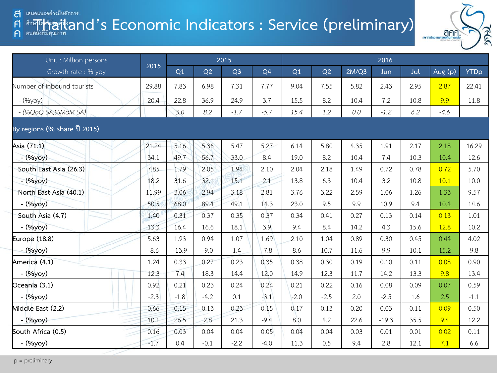#### **The Washington Seconomic Indicators : Service (preliminary)** and an all and all and all and an all and all and an all and all and an all and all and all and an all and all and all an all and all an all and an all an all a a A ค



| Unit : Million persons       |        | 2015    |        |                |                | 2016   |        |         |         |      |         |             |  |
|------------------------------|--------|---------|--------|----------------|----------------|--------|--------|---------|---------|------|---------|-------------|--|
| Growth rate: % yoy           | 2015   | Q1      | Q2     | Q <sub>3</sub> | Q <sub>4</sub> | Q1     | Q2     | 2M/Q3   | Jun     | Jul  | Aug (p) | <b>YTDp</b> |  |
| Number of inbound tourists   | 29.88  | 7.83    | 6.98   | 7.31           | 7.77           | 9.04   | 7.55   | 5.82    | 2.43    | 2.95 | 2.87    | 22.41       |  |
| - (%yoy)                     | 20.4   | 22.8    | 36.9   | 24.9           | 3.7            | 15.5   | 8.2    | 10.4    | 7.2     | 10.8 | 9.9     | 11.8        |  |
| $-(\%QoQSA, \%MoMSA)$        |        | 3.0     | 8.2    | $-1.7$         | $-5.7$         | 15.4   | 1.2    | $0.0\,$ | $-1.2$  | 6.2  | $-4.6$  |             |  |
| By regions (% share ปี 2015) |        |         |        |                |                |        |        |         |         |      |         |             |  |
| Asia (71.1)                  | 21.24  | 5.16    | 5.36   | 5.47           | 5.27           | 6.14   | 5.80   | 4.35    | 1.91    | 2.17 | 2.18    | 16.29       |  |
| - (%yoy)                     | 34.1   | 49.7    | 56.7   | 33.0           | 8.4            | 19.0   | 8.2    | 10.4    | 7.4     | 10.3 | 10.4    | 12.6        |  |
| South East Asia (26.3)       | 7.85   | 1.79    | 2.05   | 1.94           | 2.10           | 2.04   | 2.18   | 1.49    | 0.72    | 0.78 | 0.72    | 5.70        |  |
| $-(96yoy)$                   | 18.2   | 31.6    | 32.1   | 15.1           | 2.1            | 13.8   | 6.3    | 10.4    | 3.2     | 10.8 | 10.1    | 10.0        |  |
| North East Asia (40.1)       | 11.99  | 3.06    | 2.94   | 3.18           | 2.81           | 3.76   | 3.22   | 2.59    | 1.06    | 1.26 | 1.33    | 9.57        |  |
| - (%yoy)                     | 50.5   | 68.0    | 89.4   | 49.1           | 14.3           | 23.0   | 9.5    | 9.9     | 10.9    | 9.4  | 10.4    | 14.6        |  |
| South Asia (4.7)             | 1.40   | 0.31    | 0.37   | 0.35           | 0.37           | 0.34   | 0.41   | 0.27    | 0.13    | 0.14 | 0.13    | 1.01        |  |
| - (%yoy)                     | 13.3   | 16.4    | 16.6   | 18.1           | 3.9            | 9.4    | 8.4    | 14.2    | 4.3     | 15.6 | 12.8    | 10.2        |  |
| Europe (18.8)                | 5.63   | 1.93    | 0.94   | 1.07           | 1.69           | 2.10   | 1.04   | 0.89    | 0.30    | 0.45 | 0.44    | 4.02        |  |
| - (%yoy)                     | $-8.6$ | $-13.9$ | $-9.0$ | 1.4            | $-7.8$         | 8.6    | 10.7   | 11.6    | 9.9     | 10.1 | 15.2    | 9.8         |  |
| America (4.1)                | 1.24   | 0.33    | 0.27   | 0.23           | 0.35           | 0.38   | 0.30   | 0.19    | 0.10    | 0.11 | 0.08    | 0.90        |  |
| - (%yoy)                     | 12.3   | 7.4     | 18.3   | 14.4           | 12.0           | 14.9   | 12.3   | 11.7    | 14.2    | 13.3 | 9.8     | 13.4        |  |
| Oceania (3.1)                | 0.92   | 0.21    | 0.23   | 0.24           | 0.24           | 0.21   | 0.22   | 0.16    | 0.08    | 0.09 | 0.07    | 0.59        |  |
| - (%yoy)                     | $-2.3$ | $-1.8$  | $-4.2$ | 0.1            | $-3.1$         | $-2.0$ | $-2.5$ | 2.0     | $-2.5$  | 1.6  | 2.5     | $-1.1$      |  |
| Middle East (2.2)            | 0.66   | 0.15    | 0.13   | 0.23           | 0.15           | 0.17   | 0.13   | 0.20    | 0.03    | 0.11 | 0.09    | 0.50        |  |
| $-(\frac{9}{9}yoy)$          | 10.1   | 26.5    | 2.8    | 21.3           | $-9.4$         | 8.0    | 4.2    | 22.6    | $-19.3$ | 35.5 | 9.4     | 12.2        |  |
| South Africa (0.5)           | 0.16   | 0.03    | 0.04   | 0.04           | 0.05           | 0.04   | 0.04   | 0.03    | 0.01    | 0.01 | 0.02    | 0.11        |  |
| - (%yoy)                     | $-1.7$ | 0.4     | $-0.1$ | $-2.2$         | $-4.0$         | 11.3   | 0.5    | 9.4     | 2.8     | 12.1 | 7.1     | 6.6         |  |